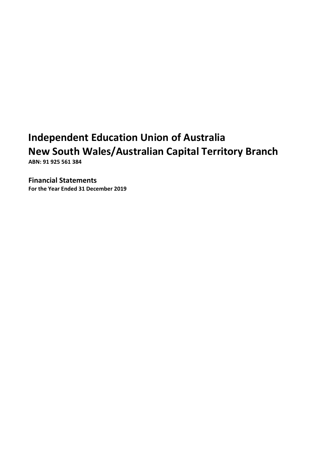**ABN: 91 925 561 384**

**Financial Statements**

**For the Year Ended 31 December 2019**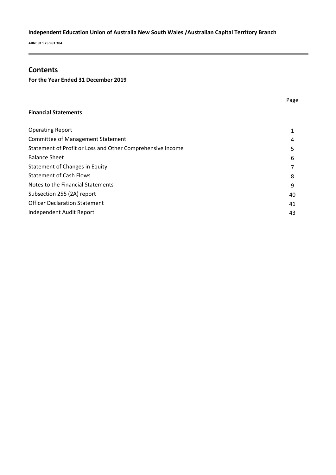**ABN: 91 925 561 384**

### **Contents**

**For the Year Ended 31 December 2019**

#### **Financial Statements**

| 4  |
|----|
| 5  |
| 6  |
|    |
| 8  |
| 9  |
| 40 |
| 41 |
| 43 |
|    |

Page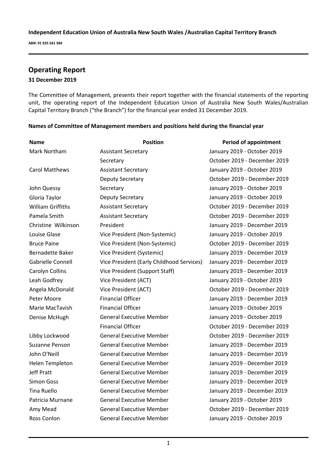**ABN: 91 925 561 384**

# **Operating Report**

### **31 December 2019**

The Committee of Management*,* presents their report together with the financial statements of the reporting unit, the operating report of the Independent Education Union of Australia New South Wales/Australian Capital Territory Branch ("the Branch") for the financial year ended 31 December 2019.

| Names of Committee of Management members and positions held during the financial year |  |  |  |
|---------------------------------------------------------------------------------------|--|--|--|
|                                                                                       |  |  |  |

| <b>Name</b>              | <b>Position</b>                           | <b>Period of appointment</b> |
|--------------------------|-------------------------------------------|------------------------------|
| Mark Northam             | <b>Assistant Secretary</b>                | January 2019 - October 2019  |
|                          | Secretary                                 | October 2019 - December 2019 |
| <b>Carol Matthews</b>    | <b>Assistant Secretary</b>                | January 2019 - October 2019  |
|                          | Deputy Secretary                          | October 2019 - December 2019 |
| John Quessy              | Secretary                                 | January 2019 - October 2019  |
| Gloria Taylor            | Deputy Secretary                          | January 2019 - October 2019  |
| <b>William Griffiths</b> | <b>Assistant Secretary</b>                | October 2019 - December 2019 |
| Pamela Smith             | <b>Assistant Secretary</b>                | October 2019 - December 2019 |
| Christine Wilkinson      | President                                 | January 2019 - December 2019 |
| Louise Glase             | Vice President (Non-Systemic)             | January 2019 - October 2019  |
| <b>Bruce Paine</b>       | Vice President (Non-Systemic)             | October 2019 - December 2019 |
| Bernadette Baker         | Vice President (Systemic)                 | January 2019 - December 2019 |
| Gabrielle Connell        | Vice President (Early Childhood Services) | January 2019 - December 2019 |
| Carolyn Collins          | Vice President (Support Staff)            | January 2019 - December 2019 |
| Leah Godfrey             | Vice President (ACT)                      | January 2019 - October 2019  |
| Angela McDonald          | Vice President (ACT)                      | October 2019 - December 2019 |
| Peter Moore              | <b>Financial Officer</b>                  | January 2019 - December 2019 |
| Marie MacTavish          | <b>Financial Officer</b>                  | January 2019 - October 2019  |
| Denise McHugh            | <b>General Executive Member</b>           | January 2019 - October 2019  |
|                          | <b>Financial Officer</b>                  | October 2019 - December 2019 |
| Libby Lockwood           | <b>General Executive Member</b>           | October 2019 - December 2019 |
| Suzanne Penson           | <b>General Executive Member</b>           | January 2019 - December 2019 |
| John O'Neill             | <b>General Executive Member</b>           | January 2019 - December 2019 |
| <b>Helen Templeton</b>   | <b>General Executive Member</b>           | January 2019 - December 2019 |
| <b>Jeff Pratt</b>        | <b>General Executive Member</b>           | January 2019 - December 2019 |
| Simon Goss               | <b>General Executive Member</b>           | January 2019 - December 2019 |
| <b>Tina Ruello</b>       | <b>General Executive Member</b>           | January 2019 - December 2019 |
| Patricia Murnane         | <b>General Executive Member</b>           | January 2019 - October 2019  |
| Amy Mead                 | <b>General Executive Member</b>           | October 2019 - December 2019 |
| Ross Conlon              | General Executive Member                  | January 2019 - October 2019  |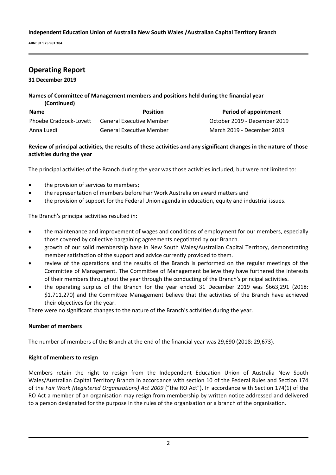**ABN: 91 925 561 384**

# **Operating Report**

**31 December 2019**

### **Names of Committee of Management members and positions held during the financial year (Continued)**

| <b>Name</b>            | <b>Position</b>                 | Period of appointment        |
|------------------------|---------------------------------|------------------------------|
| Phoebe Craddock-Lovett | <b>General Executive Member</b> | October 2019 - December 2019 |
| Anna Luedi             | <b>General Executive Member</b> | March 2019 - December 2019   |

### **Review of principal activities, the results of these activities and any significant changes in the nature of those activities during the year**

The principal activities of the Branch during the year was those activities included, but were not limited to:

- the provision of services to members;
- the representation of members before Fair Work Australia on award matters and
- the provision of support for the Federal Union agenda in education, equity and industrial issues.

The Branch's principal activities resulted in:

- the maintenance and improvement of wages and conditions of employment for our members, especially those covered by collective bargaining agreements negotiated by our Branch.
- growth of our solid membership base in New South Wales/Australian Capital Territory, demonstrating member satisfaction of the support and advice currently provided to them.
- review of the operations and the results of the Branch is performed on the regular meetings of the Committee of Management. The Committee of Management believe they have furthered the interests of their members throughout the year through the conducting of the Branch's principal activities.
- the operating surplus of the Branch for the year ended 31 December 2019 was \$663,291 (2018: \$1,711,270) and the Committee Management believe that the activities of the Branch have achieved their objectives for the year.

There were no significant changes to the nature of the Branch's activities during the year.

### **Number of members**

The number of members of the Branch at the end of the financial year was 29,690 (2018: 29,673).

### **Right of members to resign**

Members retain the right to resign from the Independent Education Union of Australia New South Wales/Australian Capital Territory Branch in accordance with section 10 of the Federal Rules and Section 174 of the *Fair Work (Registered Organisations) Act 2009* ("the RO Act"). In accordance with Section 174(1) of the RO Act a member of an organisation may resign from membership by written notice addressed and delivered to a person designated for the purpose in the rules of the organisation or a branch of the organisation.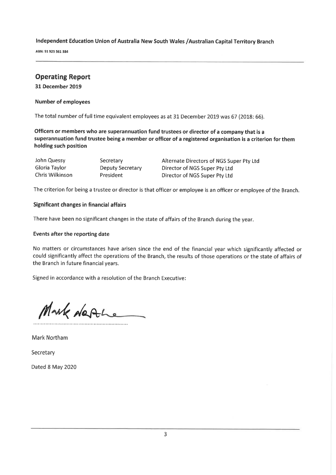ABN: 91 925 561 384

# **Operating Report**

31 December 2019

### **Number of employees**

The total number of full time equivalent employees as at 31 December 2019 was 67 (2018: 66).

Officers or members who are superannuation fund trustees or director of a company that is a superannuation fund trustee being a member or officer of a registered organisation is a criterion for them holding such position

| John Quessy     | Secretary        | Alternate Directors of NGS Super Pty Ltd |
|-----------------|------------------|------------------------------------------|
| Gloria Taylor   | Deputy Secretary | Director of NGS Super Pty Ltd            |
| Chris Wilkinson | President        | Director of NGS Super Pty Ltd            |

The criterion for being a trustee or director is that officer or employee is an officer or employee of the Branch.

### Significant changes in financial affairs

There have been no significant changes in the state of affairs of the Branch during the year.

#### Events after the reporting date

No matters or circumstances have arisen since the end of the financial year which significantly affected or could significantly affect the operations of the Branch, the results of those operations or the state of affairs of the Branch in future financial years.

Signed in accordance with a resolution of the Branch Executive:

Mark de Ale

**Mark Northam** 

Secretary

Dated 8 May 2020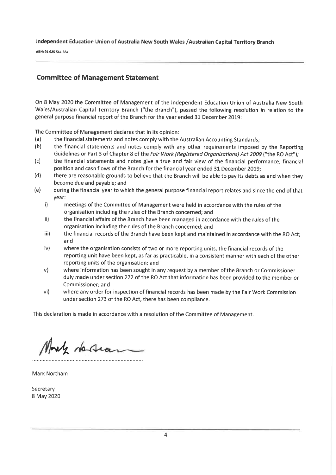ABN: 91 925 561 384

### **Committee of Management Statement**

On 8 May 2020 the Committee of Management of the Independent Education Union of Australia New South Wales/Australian Capital Territory Branch ("the Branch"), passed the following resolution in relation to the general purpose financial report of the Branch for the year ended 31 December 2019:

The Committee of Management declares that in its opinion:

- $(a)$ the financial statements and notes comply with the Australian Accounting Standards;
- $(b)$ the financial statements and notes comply with any other requirements imposed by the Reporting Guidelines or Part 3 of Chapter 8 of the Fair Work (Registered Organisations) Act 2009 ("the RO Act");
- $(c)$ the financial statements and notes give a true and fair view of the financial performance, financial position and cash flows of the Branch for the financial year ended 31 December 2019;
- there are reasonable grounds to believe that the Branch will be able to pay its debts as and when they  $(d)$ become due and payable; and
- during the financial year to which the general purpose financial report relates and since the end of that  $(e)$ year:
	- $\mathbf{i}$ meetings of the Committee of Management were held in accordance with the rules of the organisation including the rules of the Branch concerned; and
	- ii) the financial affairs of the Branch have been managed in accordance with the rules of the organisation including the rules of the Branch concerned; and
	- iii) the financial records of the Branch have been kept and maintained in accordance with the RO Act; and
	- $iv)$ where the organisation consists of two or more reporting units, the financial records of the reporting unit have been kept, as far as practicable, in a consistent manner with each of the other reporting units of the organisation; and
	- where information has been sought in any request by a member of the Branch or Commissioner  $V)$ duly made under section 272 of the RO Act that information has been provided to the member or Commissioner; and
	- where any order for inspection of financial records has been made by the Fair Work Commission  $vi)$ under section 273 of the RO Act, there has been compliance.

This declaration is made in accordance with a resolution of the Committee of Management.

May desian

**Mark Northam** 

Secretary 8 May 2020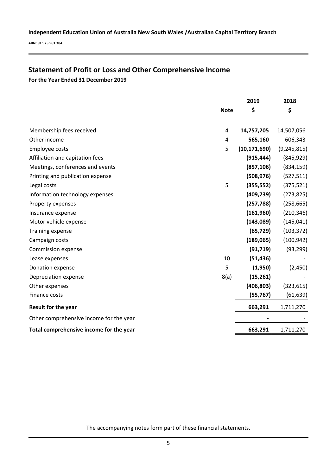**ABN: 91 925 561 384**

# **Statement of Profit or Loss and Other Comprehensive Income**

**For the Year Ended 31 December 2019**

|                                         |             | 2019           | 2018          |
|-----------------------------------------|-------------|----------------|---------------|
|                                         | <b>Note</b> | \$             | \$            |
|                                         |             |                |               |
| Membership fees received                | 4           | 14,757,205     | 14,507,056    |
| Other income                            | 4           | 565,160        | 606,343       |
| Employee costs                          | 5           | (10, 171, 690) | (9, 245, 815) |
| Affiliation and capitation fees         |             | (915, 444)     | (845, 929)    |
| Meetings, conferences and events        |             | (857, 106)     | (834, 159)    |
| Printing and publication expense        |             | (508, 976)     | (527, 511)    |
| Legal costs                             | 5           | (355, 552)     | (375, 521)    |
| Information technology expenses         |             | (409, 739)     | (273, 825)    |
| Property expenses                       |             | (257, 788)     | (258, 665)    |
| Insurance expense                       |             | (161,960)      | (210, 346)    |
| Motor vehicle expense                   |             | (143,089)      | (145, 041)    |
| <b>Training expense</b>                 |             | (65, 729)      | (103, 372)    |
| Campaign costs                          |             | (189,065)      | (100, 942)    |
| Commission expense                      |             | (91, 719)      | (93, 299)     |
| Lease expenses                          | 10          | (51, 436)      |               |
| Donation expense                        | 5           | (1,950)        | (2,450)       |
| Depreciation expense                    | 8(a)        | (15, 261)      |               |
| Other expenses                          |             | (406, 803)     | (323, 615)    |
| Finance costs                           |             | (55, 767)      | (61, 639)     |
| Result for the year                     |             | 663,291        | 1,711,270     |
| Other comprehensive income for the year |             |                |               |
| Total comprehensive income for the year |             | 663,291        | 1,711,270     |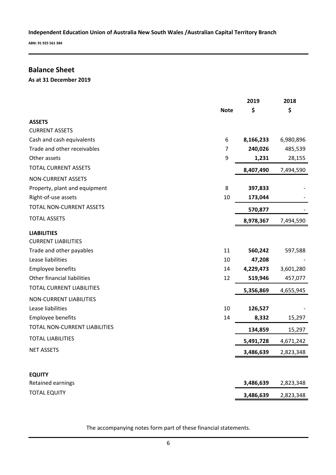**ABN: 91 925 561 384**

# **Balance Sheet**

**As at 31 December 2019**

|                                 |             | 2019      | 2018      |
|---------------------------------|-------------|-----------|-----------|
|                                 | <b>Note</b> | \$        | \$        |
| <b>ASSETS</b>                   |             |           |           |
| <b>CURRENT ASSETS</b>           |             |           |           |
| Cash and cash equivalents       | 6           | 8,166,233 | 6,980,896 |
| Trade and other receivables     | 7           | 240,026   | 485,539   |
| Other assets                    | 9           | 1,231     | 28,155    |
| <b>TOTAL CURRENT ASSETS</b>     |             | 8,407,490 | 7,494,590 |
| NON-CURRENT ASSETS              |             |           |           |
| Property, plant and equipment   | 8           | 397,833   |           |
| Right-of-use assets             | 10          | 173,044   |           |
| <b>TOTAL NON-CURRENT ASSETS</b> |             | 570,877   |           |
| <b>TOTAL ASSETS</b>             |             | 8,978,367 | 7,494,590 |
| <b>LIABILITIES</b>              |             |           |           |
| <b>CURRENT LIABILITIES</b>      |             |           |           |
| Trade and other payables        | 11          | 560,242   | 597,588   |
| Lease liabilities               | 10          | 47,208    |           |
| Employee benefits               | 14          | 4,229,473 | 3,601,280 |
| Other financial liabilities     | 12          | 519,946   | 457,077   |
| TOTAL CURRENT LIABILITIES       |             | 5,356,869 | 4,655,945 |
| NON-CURRENT LIABILITIES         |             |           |           |
| Lease liabilities               | 10          | 126,527   |           |
| Employee benefits               | 14          | 8,332     | 15,297    |
| TOTAL NON-CURRENT LIABILITIES   |             | 134,859   | 15,297    |
| <b>TOTAL LIABILITIES</b>        |             | 5,491,728 | 4,671,242 |
| <b>NET ASSETS</b>               |             | 3,486,639 | 2,823,348 |
|                                 |             |           |           |
| <b>EQUITY</b>                   |             |           |           |
| Retained earnings               |             | 3,486,639 | 2,823,348 |
| <b>TOTAL EQUITY</b>             |             | 3,486,639 | 2,823,348 |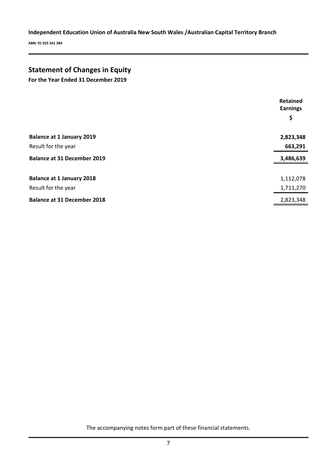**ABN: 91 925 561 384**

# **Statement of Changes in Equity**

**For the Year Ended 31 December 2019**

|                                    | <b>Retained</b><br><b>Earnings</b><br>\$ |
|------------------------------------|------------------------------------------|
| <b>Balance at 1 January 2019</b>   | 2,823,348                                |
| Result for the year                | 663,291                                  |
| <b>Balance at 31 December 2019</b> | 3,486,639                                |
| <b>Balance at 1 January 2018</b>   | 1,112,078                                |
| Result for the year                | 1,711,270                                |
| <b>Balance at 31 December 2018</b> | 2,823,348                                |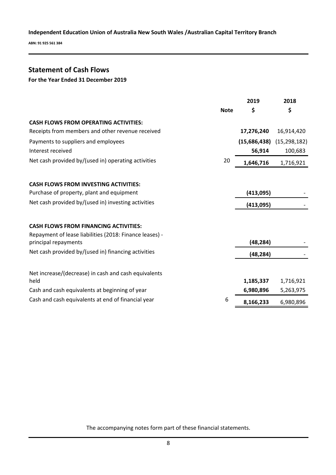**ABN: 91 925 561 384**

# **Statement of Cash Flows**

### **For the Year Ended 31 December 2019**

|                                                                                 |             | 2019         | 2018           |
|---------------------------------------------------------------------------------|-------------|--------------|----------------|
|                                                                                 | <b>Note</b> | \$           | \$             |
| <b>CASH FLOWS FROM OPERATING ACTIVITIES:</b>                                    |             |              |                |
| Receipts from members and other revenue received                                |             | 17,276,240   | 16,914,420     |
| Payments to suppliers and employees                                             |             | (15,686,438) | (15, 298, 182) |
| Interest received                                                               |             | 56,914       | 100,683        |
| Net cash provided by/(used in) operating activities                             | 20          | 1,646,716    | 1,716,921      |
| <b>CASH FLOWS FROM INVESTING ACTIVITIES:</b>                                    |             |              |                |
| Purchase of property, plant and equipment                                       |             | (413,095)    |                |
| Net cash provided by/(used in) investing activities                             |             |              |                |
|                                                                                 |             | (413,095)    |                |
| <b>CASH FLOWS FROM FINANCING ACTIVITIES:</b>                                    |             |              |                |
| Repayment of lease liabilities (2018: Finance leases) -<br>principal repayments |             | (48, 284)    |                |
| Net cash provided by/(used in) financing activities                             |             | (48, 284)    |                |
|                                                                                 |             |              |                |
| Net increase/(decrease) in cash and cash equivalents<br>held                    |             | 1,185,337    | 1,716,921      |
| Cash and cash equivalents at beginning of year                                  |             | 6,980,896    | 5,263,975      |
| Cash and cash equivalents at end of financial year                              | 6           | 8,166,233    | 6,980,896      |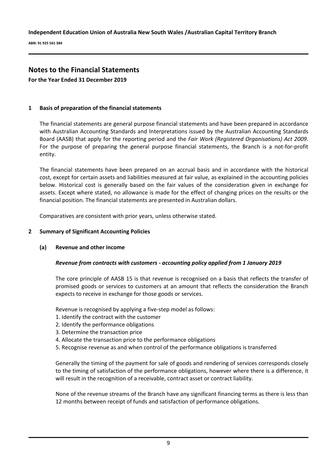**ABN: 91 925 561 384**

# **Notes to the Financial Statements**

**For the Year Ended 31 December 2019**

### **1 Basis of preparation of the financial statements**

The financial statements are general purpose financial statements and have been prepared in accordance with Australian Accounting Standards and Interpretations issued by the Australian Accounting Standards Board (AASB) that apply for the reporting period and the *Fair Work (Registered Organisations) Act 2009*. For the purpose of preparing the general purpose financial statements, the Branch is a not-for-profit entity.

The financial statements have been prepared on an accrual basis and in accordance with the historical cost, except for certain assets and liabilities measured at fair value, as explained in the accounting policies below. Historical cost is generally based on the fair values of the consideration given in exchange for assets. Except where stated, no allowance is made for the effect of changing prices on the results or the financial position. The financial statements are presented in Australian dollars.

Comparatives are consistent with prior years, unless otherwise stated.

### **2 Summary of Significant Accounting Policies**

### **(a) Revenue and other income**

### *Revenue from contracts with customers - accounting policy applied from 1 January 2019*

The core principle of AASB 15 is that revenue is recognised on a basis that reflects the transfer of promised goods or services to customers at an amount that reflects the consideration the Branch expects to receive in exchange for those goods or services.

Revenue is recognised by applying a five-step model as follows:

- 1. Identify the contract with the customer
- 2. Identify the performance obligations
- 3. Determine the transaction price
- 4. Allocate the transaction price to the performance obligations
- 5. Recognise revenue as and when control of the performance obligations is transferred

Generally the timing of the payment for sale of goods and rendering of services corresponds closely to the timing of satisfaction of the performance obligations, however where there is a difference, it will result in the recognition of a receivable, contract asset or contract liability.

None of the revenue streams of the Branch have any significant financing terms as there is less than 12 months between receipt of funds and satisfaction of performance obligations.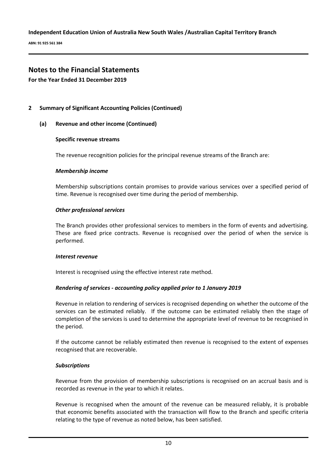**ABN: 91 925 561 384**

# **Notes to the Financial Statements**

**For the Year Ended 31 December 2019**

### **2 Summary of Significant Accounting Policies (Continued)**

### **(a) Revenue and other income (Continued)**

### **Specific revenue streams**

The revenue recognition policies for the principal revenue streams of the Branch are:

### *Membership income*

Membership subscriptions contain promises to provide various services over a specified period of time. Revenue is recognised over time during the period of membership.

### *Other professional services*

The Branch provides other professional services to members in the form of events and advertising. These are fixed price contracts. Revenue is recognised over the period of when the service is performed.

### *Interest revenue*

Interest is recognised using the effective interest rate method.

### *Rendering of services - accounting policy applied prior to 1 January 2019*

Revenue in relation to rendering of services is recognised depending on whether the outcome of the services can be estimated reliably. If the outcome can be estimated reliably then the stage of completion of the services is used to determine the appropriate level of revenue to be recognised in the period.

If the outcome cannot be reliably estimated then revenue is recognised to the extent of expenses recognised that are recoverable.

### *Subscriptions*

Revenue from the provision of membership subscriptions is recognised on an accrual basis and is recorded as revenue in the year to which it relates.

Revenue is recognised when the amount of the revenue can be measured reliably, it is probable that economic benefits associated with the transaction will flow to the Branch and specific criteria relating to the type of revenue as noted below, has been satisfied.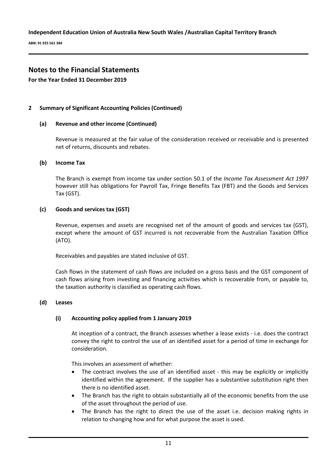**ABN: 91 925 561 384**

### **Notes to the Financial Statements**

**For the Year Ended 31 December 2019**

### **2 Summary of Significant Accounting Policies (Continued)**

### **(a) Revenue and other income (Continued)**

Revenue is measured at the fair value of the consideration received or receivable and is presented net of returns, discounts and rebates.

### **(b) Income Tax**

The Branch is exempt from income tax under section 50.1 of the *Income Tax Assessment Act 1997* however still has obligations for Payroll Tax, Fringe Benefits Tax (FBT) and the Goods and Services Tax (GST).

### **(c) Goods and services tax (GST)**

Revenue, expenses and assets are recognised net of the amount of goods and services tax (GST), except where the amount of GST incurred is not recoverable from the Australian Taxation Office (ATO).

Receivables and payables are stated inclusive of GST.

Cash flows in the statement of cash flows are included on a gross basis and the GST component of cash flows arising from investing and financing activities which is recoverable from, or payable to, the taxation authority is classified as operating cash flows.

### **(d) Leases**

### **(i) Accounting policy applied from 1 January 2019**

At inception of a contract, the Branch assesses whether a lease exists - i.e. does the contract convey the right to control the use of an identified asset for a period of time in exchange for consideration.

This involves an assessment of whether:

- The contract involves the use of an identified asset this may be explicitly or implicitly identified within the agreement. If the supplier has a substantive substitution right then there is no identified asset.
- The Branch has the right to obtain substantially all of the economic benefits from the use of the asset throughout the period of use.
- The Branch has the right to direct the use of the asset i.e. decision making rights in relation to changing how and for what purpose the asset is used.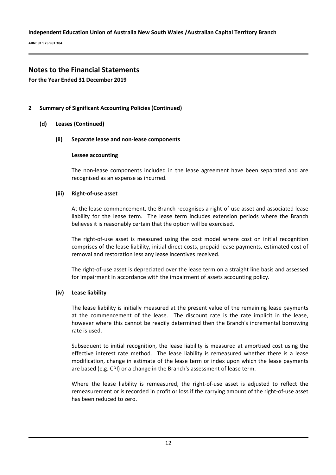**ABN: 91 925 561 384**

### **Notes to the Financial Statements**

**For the Year Ended 31 December 2019**

### **2 Summary of Significant Accounting Policies (Continued)**

**(d) Leases (Continued)**

#### **(ii) Separate lease and non-lease components**

#### **Lessee accounting**

The non-lease components included in the lease agreement have been separated and are recognised as an expense as incurred.

### **(iii) Right-of-use asset**

At the lease commencement, the Branch recognises a right-of-use asset and associated lease liability for the lease term. The lease term includes extension periods where the Branch believes it is reasonably certain that the option will be exercised.

The right-of-use asset is measured using the cost model where cost on initial recognition comprises of the lease liability, initial direct costs, prepaid lease payments, estimated cost of removal and restoration less any lease incentives received.

The right-of-use asset is depreciated over the lease term on a straight line basis and assessed for impairment in accordance with the impairment of assets accounting policy.

### **(iv) Lease liability**

The lease liability is initially measured at the present value of the remaining lease payments at the commencement of the lease. The discount rate is the rate implicit in the lease, however where this cannot be readily determined then the Branch's incremental borrowing rate is used.

Subsequent to initial recognition, the lease liability is measured at amortised cost using the effective interest rate method. The lease liability is remeasured whether there is a lease modification, change in estimate of the lease term or index upon which the lease payments are based (e.g. CPI) or a change in the Branch's assessment of lease term.

Where the lease liability is remeasured, the right-of-use asset is adjusted to reflect the remeasurement or is recorded in profit or loss if the carrying amount of the right-of-use asset has been reduced to zero.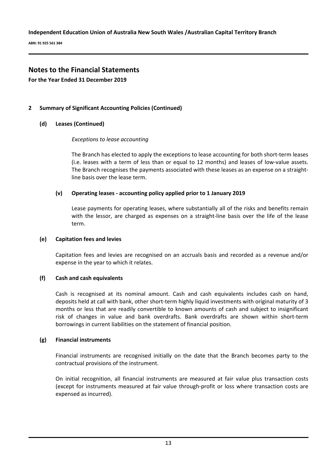**ABN: 91 925 561 384**

# **Notes to the Financial Statements**

**For the Year Ended 31 December 2019**

### **2 Summary of Significant Accounting Policies (Continued)**

### **(d) Leases (Continued)**

### *Exceptions to lease accounting*

The Branch has elected to apply the exceptions to lease accounting for both short-term leases (i.e. leases with a term of less than or equal to 12 months) and leases of low-value assets. The Branch recognises the payments associated with these leases as an expense on a straightline basis over the lease term.

### **(v) Operating leases - accounting policy applied prior to 1 January 2019**

Lease payments for operating leases, where substantially all of the risks and benefits remain with the lessor, are charged as expenses on a straight-line basis over the life of the lease term.

### **(e) Capitation fees and levies**

Capitation fees and levies are recognised on an accruals basis and recorded as a revenue and/or expense in the year to which it relates.

### **(f) Cash and cash equivalents**

Cash is recognised at its nominal amount. Cash and cash equivalents includes cash on hand, deposits held at call with bank, other short-term highly liquid investments with original maturity of 3 months or less that are readily convertible to known amounts of cash and subject to insignificant risk of changes in value and bank overdrafts. Bank overdrafts are shown within short-term borrowings in current liabilities on the statement of financial position.

### **(g) Financial instruments**

Financial instruments are recognised initially on the date that the Branch becomes party to the contractual provisions of the instrument.

On initial recognition, all financial instruments are measured at fair value plus transaction costs (except for instruments measured at fair value through-profit or loss where transaction costs are expensed as incurred).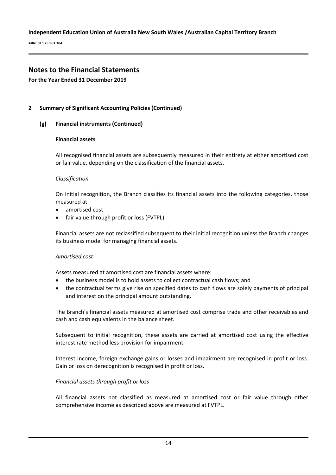**ABN: 91 925 561 384**

# **Notes to the Financial Statements**

### **For the Year Ended 31 December 2019**

### **2 Summary of Significant Accounting Policies (Continued)**

### **(g) Financial instruments (Continued)**

### **Financial assets**

All recognised financial assets are subsequently measured in their entirety at either amortised cost or fair value, depending on the classification of the financial assets.

### *Classification*

On initial recognition, the Branch classifies its financial assets into the following categories, those measured at:

- amortised cost
- fair value through profit or loss (FVTPL)

Financial assets are not reclassified subsequent to their initial recognition unless the Branch changes its business model for managing financial assets.

### *Amortised cost*

Assets measured at amortised cost are financial assets where:

- the business model is to hold assets to collect contractual cash flows; and
- the contractual terms give rise on specified dates to cash flows are solely payments of principal and interest on the principal amount outstanding.

The Branch's financial assets measured at amortised cost comprise trade and other receivables and cash and cash equivalents in the balance sheet.

Subsequent to initial recognition, these assets are carried at amortised cost using the effective interest rate method less provision for impairment.

Interest income, foreign exchange gains or losses and impairment are recognised in profit or loss. Gain or loss on derecognition is recognised in profit or loss.

### *Financial assets through profit or loss*

All financial assets not classified as measured at amortised cost or fair value through other comprehensive income as described above are measured at FVTPL.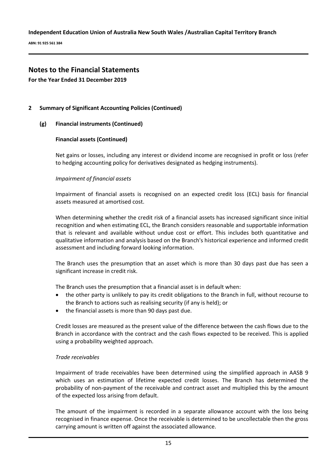**ABN: 91 925 561 384**

# **Notes to the Financial Statements**

**For the Year Ended 31 December 2019**

### **2 Summary of Significant Accounting Policies (Continued)**

### **(g) Financial instruments (Continued)**

### **Financial assets (Continued)**

Net gains or losses, including any interest or dividend income are recognised in profit or loss (refer to hedging accounting policy for derivatives designated as hedging instruments).

### *Impairment of financial assets*

Impairment of financial assets is recognised on an expected credit loss (ECL) basis for financial assets measured at amortised cost.

When determining whether the credit risk of a financial assets has increased significant since initial recognition and when estimating ECL, the Branch considers reasonable and supportable information that is relevant and available without undue cost or effort. This includes both quantitative and qualitative information and analysis based on the Branch's historical experience and informed credit assessment and including forward looking information.

The Branch uses the presumption that an asset which is more than 30 days past due has seen a significant increase in credit risk.

The Branch uses the presumption that a financial asset is in default when:

- the other party is unlikely to pay its credit obligations to the Branch in full, without recourse to the Branch to actions such as realising security (if any is held); or
- the financial assets is more than 90 days past due.

Credit losses are measured as the present value of the difference between the cash flows due to the Branch in accordance with the contract and the cash flows expected to be received. This is applied using a probability weighted approach.

### *Trade receivables*

Impairment of trade receivables have been determined using the simplified approach in AASB 9 which uses an estimation of lifetime expected credit losses. The Branch has determined the probability of non-payment of the receivable and contract asset and multiplied this by the amount of the expected loss arising from default.

The amount of the impairment is recorded in a separate allowance account with the loss being recognised in finance expense. Once the receivable is determined to be uncollectable then the gross carrying amount is written off against the associated allowance.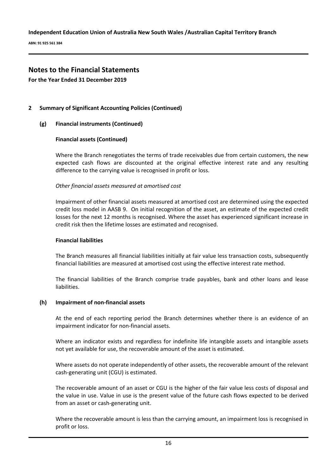**ABN: 91 925 561 384**

# **Notes to the Financial Statements**

**For the Year Ended 31 December 2019**

### **2 Summary of Significant Accounting Policies (Continued)**

### **(g) Financial instruments (Continued)**

### **Financial assets (Continued)**

Where the Branch renegotiates the terms of trade receivables due from certain customers, the new expected cash flows are discounted at the original effective interest rate and any resulting difference to the carrying value is recognised in profit or loss.

### *Other financial assets measured at amortised cost*

Impairment of other financial assets measured at amortised cost are determined using the expected credit loss model in AASB 9. On initial recognition of the asset, an estimate of the expected credit losses for the next 12 months is recognised. Where the asset has experienced significant increase in credit risk then the lifetime losses are estimated and recognised.

### **Financial liabilities**

The Branch measures all financial liabilities initially at fair value less transaction costs, subsequently financial liabilities are measured at amortised cost using the effective interest rate method.

The financial liabilities of the Branch comprise trade payables, bank and other loans and lease liabilities.

### **(h) Impairment of non-financial assets**

At the end of each reporting period the Branch determines whether there is an evidence of an impairment indicator for non-financial assets.

Where an indicator exists and regardless for indefinite life intangible assets and intangible assets not yet available for use, the recoverable amount of the asset is estimated.

Where assets do not operate independently of other assets, the recoverable amount of the relevant cash-generating unit (CGU) is estimated.

The recoverable amount of an asset or CGU is the higher of the fair value less costs of disposal and the value in use. Value in use is the present value of the future cash flows expected to be derived from an asset or cash-generating unit.

Where the recoverable amount is less than the carrying amount, an impairment loss is recognised in profit or loss.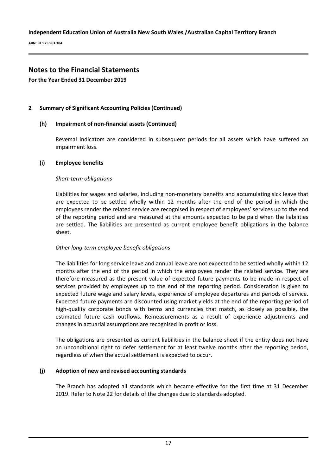**ABN: 91 925 561 384**

# **Notes to the Financial Statements**

**For the Year Ended 31 December 2019**

### **2 Summary of Significant Accounting Policies (Continued)**

### **(h) Impairment of non-financial assets (Continued)**

Reversal indicators are considered in subsequent periods for all assets which have suffered an impairment loss.

### **(i) Employee benefits**

### *Short-term obligations*

Liabilities for wages and salaries, including non-monetary benefits and accumulating sick leave that are expected to be settled wholly within 12 months after the end of the period in which the employees render the related service are recognised in respect of employees' services up to the end of the reporting period and are measured at the amounts expected to be paid when the liabilities are settled. The liabilities are presented as current employee benefit obligations in the balance sheet.

### *Other long-term employee benefit obligations*

The liabilities for long service leave and annual leave are not expected to be settled wholly within 12 months after the end of the period in which the employees render the related service. They are therefore measured as the present value of expected future payments to be made in respect of services provided by employees up to the end of the reporting period. Consideration is given to expected future wage and salary levels, experience of employee departures and periods of service. Expected future payments are discounted using market yields at the end of the reporting period of high-quality corporate bonds with terms and currencies that match, as closely as possible, the estimated future cash outflows. Remeasurements as a result of experience adjustments and changes in actuarial assumptions are recognised in profit or loss.

The obligations are presented as current liabilities in the balance sheet if the entity does not have an unconditional right to defer settlement for at least twelve months after the reporting period, regardless of when the actual settlement is expected to occur.

### **(j) Adoption of new and revised accounting standards**

The Branch has adopted all standards which became effective for the first time at 31 December 2019. Refer to Note 22 for details of the changes due to standards adopted.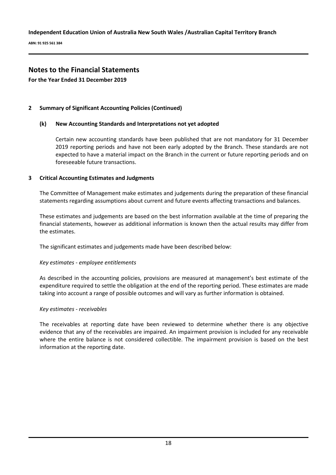**ABN: 91 925 561 384**

# **Notes to the Financial Statements**

**For the Year Ended 31 December 2019**

### **2 Summary of Significant Accounting Policies (Continued)**

### **(k) New Accounting Standards and Interpretations not yet adopted**

Certain new accounting standards have been published that are not mandatory for 31 December 2019 reporting periods and have not been early adopted by the Branch. These standards are not expected to have a material impact on the Branch in the current or future reporting periods and on foreseeable future transactions.

### **3 Critical Accounting Estimates and Judgments**

The Committee of Management make estimates and judgements during the preparation of these financial statements regarding assumptions about current and future events affecting transactions and balances.

These estimates and judgements are based on the best information available at the time of preparing the financial statements, however as additional information is known then the actual results may differ from the estimates.

The significant estimates and judgements made have been described below:

### *Key estimates - employee entitlements*

As described in the accounting policies, provisions are measured at management's best estimate of the expenditure required to settle the obligation at the end of the reporting period. These estimates are made taking into account a range of possible outcomes and will vary as further information is obtained.

### *Key estimates - receivables*

The receivables at reporting date have been reviewed to determine whether there is any objective evidence that any of the receivables are impaired. An impairment provision is included for any receivable where the entire balance is not considered collectible. The impairment provision is based on the best information at the reporting date.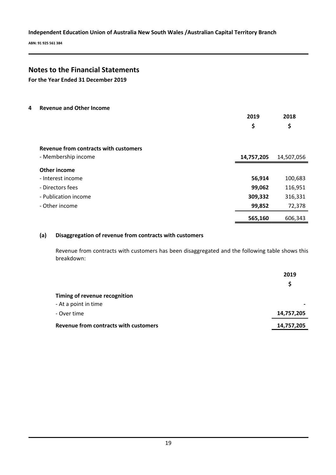**ABN: 91 925 561 384**

# **Notes to the Financial Statements**

**For the Year Ended 31 December 2019**

**4 Revenue and Other Income**

|                                       | 2019<br>\$ | 2018<br>\$ |
|---------------------------------------|------------|------------|
| Revenue from contracts with customers |            |            |
| - Membership income                   | 14,757,205 | 14,507,056 |
| Other income                          |            |            |
| - Interest income                     | 56,914     | 100,683    |
| - Directors fees                      | 99,062     | 116,951    |
| - Publication income                  | 309,332    | 316,331    |
| - Other income                        | 99,852     | 72,378     |
|                                       | 565,160    | 606,343    |

### **(a) Disaggregation of revenue from contracts with customers**

Revenue from contracts with customers has been disaggregated and the following table shows this breakdown:

|                                       | 2019       |
|---------------------------------------|------------|
|                                       | S          |
| Timing of revenue recognition         |            |
| - At a point in time                  |            |
| - Over time                           | 14,757,205 |
| Revenue from contracts with customers | 14,757,205 |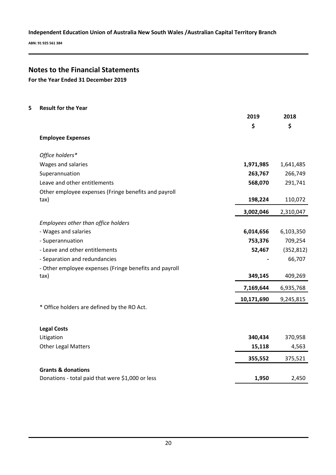**ABN: 91 925 561 384**

# **Notes to the Financial Statements**

**For the Year Ended 31 December 2019**

| <b>Result for the Year</b>                             |                                                     |            |
|--------------------------------------------------------|-----------------------------------------------------|------------|
|                                                        | 2019                                                | 2018       |
|                                                        | \$                                                  | \$         |
| <b>Employee Expenses</b>                               |                                                     |            |
| Office holders*                                        |                                                     |            |
| Wages and salaries                                     | 1,971,985                                           | 1,641,485  |
| Superannuation                                         | 263,767                                             | 266,749    |
| Leave and other entitlements                           | 568,070                                             | 291,741    |
| Other employee expenses (Fringe benefits and payroll   |                                                     |            |
| tax)                                                   | 198,224                                             | 110,072    |
|                                                        | 3,002,046                                           | 2,310,047  |
| Employees other than office holders                    |                                                     |            |
| - Wages and salaries                                   | 6,014,656                                           | 6,103,350  |
| - Superannuation                                       | 753,376                                             | 709,254    |
| - Leave and other entitlements                         | 52,467                                              | (352, 812) |
| - Separation and redundancies                          |                                                     | 66,707     |
| - Other employee expenses (Fringe benefits and payroll |                                                     |            |
| tax)                                                   | 349,145                                             | 409,269    |
|                                                        | 7,169,644                                           | 6,935,768  |
|                                                        | 10,171,690                                          | 9,245,815  |
| * Office holders are defined by the RO Act.            |                                                     |            |
|                                                        |                                                     |            |
| Litigation                                             | 340,434                                             | 370,958    |
| <b>Other Legal Matters</b>                             | 15,118                                              | 4,563      |
|                                                        | 355,552                                             | 375,521    |
|                                                        |                                                     |            |
| Donations - total paid that were \$1,000 or less       | 1,950                                               | 2,450      |
|                                                        | <b>Legal Costs</b><br><b>Grants &amp; donations</b> |            |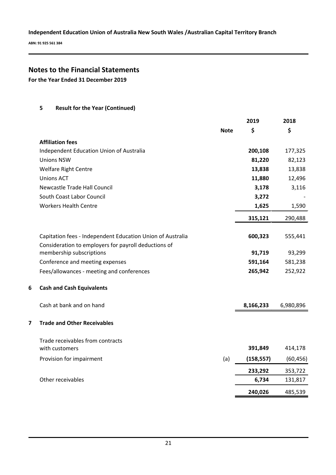**ABN: 91 925 561 384**

# **Notes to the Financial Statements**

**For the Year Ended 31 December 2019**

**5 Result for the Year (Continued)**

|                                                            |             | 2019       | 2018      |
|------------------------------------------------------------|-------------|------------|-----------|
|                                                            | <b>Note</b> | \$         | \$        |
| <b>Affiliation fees</b>                                    |             |            |           |
| Independent Education Union of Australia                   |             | 200,108    | 177,325   |
| <b>Unions NSW</b>                                          |             | 81,220     | 82,123    |
| <b>Welfare Right Centre</b>                                |             | 13,838     | 13,838    |
| <b>Unions ACT</b>                                          |             | 11,880     | 12,496    |
| <b>Newcastle Trade Hall Council</b>                        |             | 3,178      | 3,116     |
| South Coast Labor Council                                  |             | 3,272      |           |
| <b>Workers Health Centre</b>                               |             | 1,625      | 1,590     |
|                                                            |             | 315,121    | 290,488   |
| Capitation fees - Independent Education Union of Australia |             | 600,323    | 555,441   |
| Consideration to employers for payroll deductions of       |             |            |           |
| membership subscriptions                                   |             | 91,719     | 93,299    |
| Conference and meeting expenses                            |             | 591,164    | 581,238   |
| Fees/allowances - meeting and conferences                  |             | 265,942    | 252,922   |
| 6<br><b>Cash and Cash Equivalents</b>                      |             |            |           |
| Cash at bank and on hand                                   |             | 8,166,233  | 6,980,896 |
| 7<br><b>Trade and Other Receivables</b>                    |             |            |           |
| Trade receivables from contracts                           |             |            |           |
| with customers                                             |             | 391,849    | 414,178   |
| Provision for impairment                                   | (a)         | (158, 557) | (60, 456) |
|                                                            |             | 233,292    | 353,722   |
| Other receivables                                          |             | 6,734      | 131,817   |
|                                                            |             | 240,026    | 485,539   |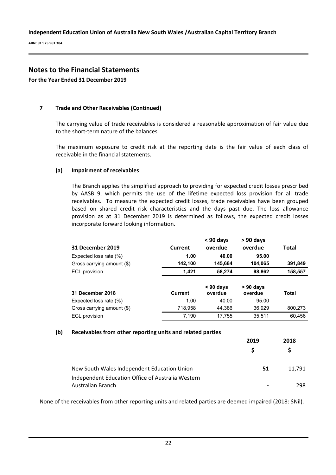**ABN: 91 925 561 384**

# **Notes to the Financial Statements**

**For the Year Ended 31 December 2019**

### **7 Trade and Other Receivables (Continued)**

The carrying value of trade receivables is considered a reasonable approximation of fair value due to the short-term nature of the balances.

The maximum exposure to credit risk at the reporting date is the fair value of each class of receivable in the financial statements.

### **(a) Impairment of receivables**

The Branch applies the simplified approach to providing for expected credit losses prescribed by AASB 9, which permits the use of the lifetime expected loss provision for all trade receivables. To measure the expected credit losses, trade receivables have been grouped based on shared credit risk characteristics and the days past due. The loss allowance provision as at 31 December 2019 is determined as follows, the expected credit losses incorporate forward looking information.

| <b>31 December 2019</b>    | Current        | $< 90$ days<br>overdue | $> 90$ days<br>overdue | <b>Total</b> |
|----------------------------|----------------|------------------------|------------------------|--------------|
| Expected loss rate (%)     | 1.00           | 40.00                  | 95.00                  |              |
| Gross carrying amount (\$) | 142,100        | 145,684                | 104,065                | 391,849      |
| ECL provision              | 1,421          | 58,274                 | 98,862                 | 158,557      |
| 31 December 2018           | <b>Current</b> | $< 90$ days<br>overdue | $> 90$ days<br>overdue | <b>Total</b> |
| Expected loss rate (%)     | 1.00           | 40.00                  | 95.00                  |              |
| Gross carrying amount (\$) | 718,958        | 44,386                 | 36,929                 | 800,273      |
| <b>ECL</b> provision       | 7.190          | 17,755                 | 35.511                 | 60.456       |

### **(b) Receivables from other reporting units and related parties**

|                                                   | 2019           | 2018   |
|---------------------------------------------------|----------------|--------|
|                                                   | S.             |        |
| New South Wales Independent Education Union       | 51             | 11.791 |
| Independent Education Office of Australia Western |                |        |
| Australian Branch                                 | $\blacksquare$ | 298.   |

None of the receivables from other reporting units and related parties are deemed impaired (2018: \$Nil).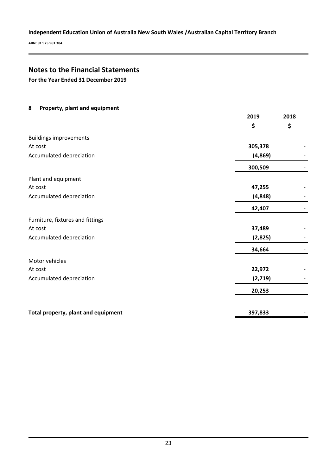**ABN: 91 925 561 384**

# **Notes to the Financial Statements**

**For the Year Ended 31 December 2019**

| 8<br>Property, plant and equipment  |          |      |
|-------------------------------------|----------|------|
|                                     | 2019     | 2018 |
|                                     | \$       | \$   |
| <b>Buildings improvements</b>       |          |      |
| At cost                             | 305,378  |      |
| Accumulated depreciation            | (4,869)  |      |
|                                     | 300,509  |      |
| Plant and equipment                 |          |      |
| At cost                             | 47,255   |      |
| Accumulated depreciation            | (4, 848) |      |
|                                     | 42,407   |      |
| Furniture, fixtures and fittings    |          |      |
| At cost                             | 37,489   |      |
| Accumulated depreciation            | (2,825)  |      |
|                                     | 34,664   |      |
| Motor vehicles                      |          |      |
| At cost                             | 22,972   |      |
| Accumulated depreciation            | (2,719)  |      |
|                                     | 20,253   |      |
| Total property, plant and equipment | 397,833  |      |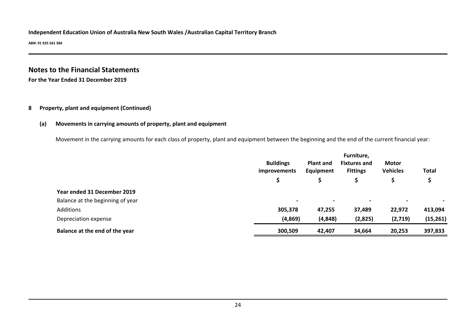**ABN: 91 925 561 384**

# **Notes to the Financial Statements**

**For the Year Ended 31 December 2019**

### **8 Property, plant and equipment (Continued)**

### **(a) Movements in carrying amounts of property, plant and equipment**

Movement in the carrying amounts for each class of property, plant and equipment between the beginning and the end of the current financial year:

|                                  | <b>Buildings</b><br><b>Plant and</b><br>Equipment<br><i>improvements</i> |                          |                | <b>Motor</b><br><b>Vehicles</b> | <b>Total</b> |
|----------------------------------|--------------------------------------------------------------------------|--------------------------|----------------|---------------------------------|--------------|
|                                  | \$                                                                       |                          |                |                                 |              |
| Year ended 31 December 2019      |                                                                          |                          |                |                                 |              |
| Balance at the beginning of year | $\overline{\phantom{0}}$                                                 | $\overline{\phantom{0}}$ | $\blacksquare$ |                                 |              |
| Additions                        | 305,378                                                                  | 47,255                   | 37,489         | 22,972                          | 413,094      |
| Depreciation expense             | (4,869)                                                                  | (4, 848)                 | (2,825)        | (2,719)                         | (15, 261)    |
| Balance at the end of the year   | 300,509                                                                  | 42,407                   | 34,664         | 20,253                          | 397,833      |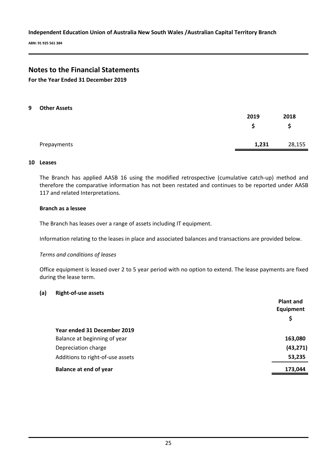**ABN: 91 925 561 384**

# **Notes to the Financial Statements**

**For the Year Ended 31 December 2019**

#### **9 Other Assets**

|             | 2019  | 2018   |
|-------------|-------|--------|
|             |       | \$     |
| Prepayments | 1,231 | 28,155 |

#### **10 Leases**

The Branch has applied AASB 16 using the modified retrospective (cumulative catch-up) method and therefore the comparative information has not been restated and continues to be reported under AASB 117 and related Interpretations.

### **Branch as a lessee**

The Branch has leases over a range of assets including IT equipment.

Information relating to the leases in place and associated balances and transactions are provided below.

### *Terms and conditions of leases*

Office equipment is leased over 2 to 5 year period with no option to extend. The lease payments are fixed during the lease term.

### **(a) Right-of-use assets**

|                                  | <b>Plant and</b> |
|----------------------------------|------------------|
|                                  | Equipment        |
|                                  | \$               |
| Year ended 31 December 2019      |                  |
| Balance at beginning of year     | 163,080          |
| Depreciation charge              | (43, 271)        |
| Additions to right-of-use assets | 53,235           |
| <b>Balance at end of year</b>    | 173,044          |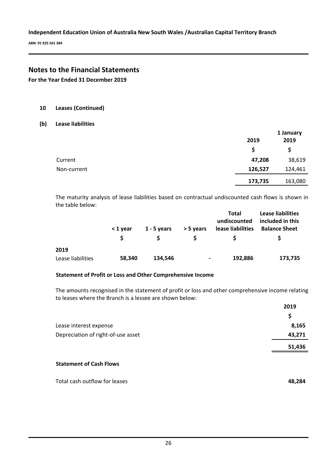**ABN: 91 925 561 384**

# **Notes to the Financial Statements**

**For the Year Ended 31 December 2019**

### **10 Leases (Continued)**

### **(b) Lease liabilities**

|             |         | 1 January |
|-------------|---------|-----------|
|             | 2019    | 2019      |
|             | S       | \$        |
| Current     | 47,208  | 38,619    |
| Non-current | 126,527 | 124,461   |
|             | 173,735 | 163,080   |

The maturity analysis of lease liabilities based on contractual undiscounted cash flows is shown in the table below:

|                   | < 1 year | $1 - 5$ years | > 5 years      | <b>Total</b><br>undiscounted<br>lease liabilities | <b>Lease liabilities</b><br>included in this<br><b>Balance Sheet</b> |
|-------------------|----------|---------------|----------------|---------------------------------------------------|----------------------------------------------------------------------|
|                   | S        | S             | S              | <sub>S</sub>                                      |                                                                      |
| 2019              |          |               |                |                                                   |                                                                      |
| Lease liabilities | 58,340   | 134,546       | $\blacksquare$ | 192,886                                           | 173,735                                                              |

### **Statement of Profit or Loss and Other Comprehensive Income**

The amounts recognised in the statement of profit or loss and other comprehensive income relating to leases where the Branch is a lessee are shown below:

|                                    | 2019   |
|------------------------------------|--------|
|                                    | \$     |
| Lease interest expense             | 8,165  |
| Depreciation of right-of-use asset | 43,271 |
|                                    | 51,436 |
|                                    |        |

### **Statement of Cash Flows**

| Total cash outflow for leases | 48.284 |
|-------------------------------|--------|
|                               |        |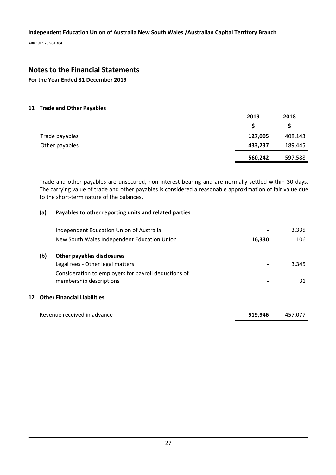**ABN: 91 925 561 384**

# **Notes to the Financial Statements**

**For the Year Ended 31 December 2019**

### **11 Trade and Other Payables**

|                | 2019    | 2018    |
|----------------|---------|---------|
|                |         | S       |
| Trade payables | 127,005 | 408,143 |
| Other payables | 433,237 | 189,445 |
|                | 560,242 | 597,588 |

Trade and other payables are unsecured, non-interest bearing and are normally settled within 30 days. The carrying value of trade and other payables is considered a reasonable approximation of fair value due to the short-term nature of the balances.

### **(a) Payables to other reporting units and related parties**

|     | Independent Education Union of Australia             |         | 3,335   |
|-----|------------------------------------------------------|---------|---------|
|     | New South Wales Independent Education Union          | 16,330  | 106     |
| (b) | Other payables disclosures                           |         |         |
|     | Legal fees - Other legal matters                     |         | 3,345   |
|     | Consideration to employers for payroll deductions of |         |         |
|     | membership descriptions                              |         | 31      |
|     | 12 Other Financial Liabilities                       |         |         |
|     | Revenue received in advance                          | 519.946 | 457.077 |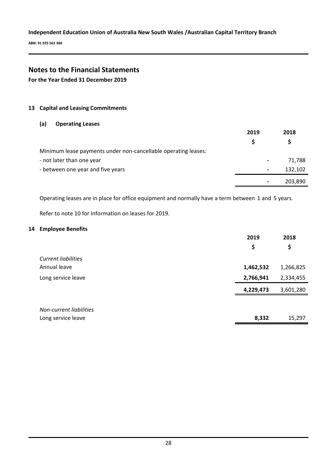**ABN: 91 925 561 384**

# **Notes to the Financial Statements**

**For the Year Ended 31 December 2019**

### **13 Capital and Leasing Commitments**

### **(a) Operating Leases**

|                                                                | 2019                     | 2018    |
|----------------------------------------------------------------|--------------------------|---------|
|                                                                |                          |         |
| Minimum lease payments under non-cancellable operating leases: |                          |         |
| - not later than one year                                      | $\blacksquare$           | 71,788  |
| - between one year and five years                              | $\overline{\phantom{a}}$ | 132,102 |
|                                                                | $\hbox{ }$               | 203,890 |

Operating leases are in place for office equipment and normally have a term between 1 and 5 years.

Refer to note 10 for information on leases for 2019.

### **14 Employee Benefits**

|                            | 2019      | 2018      |
|----------------------------|-----------|-----------|
|                            | \$        | \$        |
| <b>Current liabilities</b> |           |           |
| Annual leave               | 1,462,532 | 1,266,825 |
| Long service leave         | 2,766,941 | 2,334,455 |
|                            | 4,229,473 | 3,601,280 |
|                            |           |           |
| Non-current liabilities    |           |           |
| Long service leave         | 8,332     | 15,297    |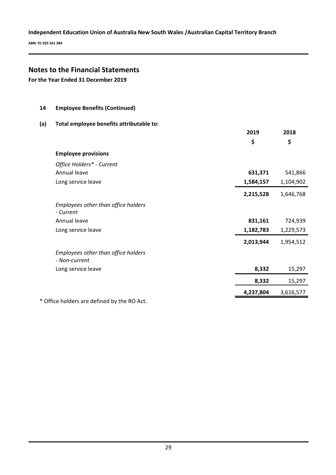**ABN: 91 925 561 384**

### **Notes to the Financial Statements**

**14 Employee Benefits (Continued)**

**For the Year Ended 31 December 2019**

# **(a) Total employee benefits attributable to: 2019 \$ 2018 \$ Employee provisions**  *Office Holders\* - Current* Annual leave **631,371** 541,866 Long service leave **1,584,157** 1,104,902 **2,215,528** 1,646,768 *Employees other than office holders - Current*  Annual leave **831,161** 724,939 Long service leave **1,182,783** 1,229,573 **2,013,944** 1,954,512 *Employees other than office holders - Non-current*  Long service leave **8,332** 15,297 **8,332** 15,297 **4,237,804** 3,616,577 \* Office holders are defined by the RO Act.

29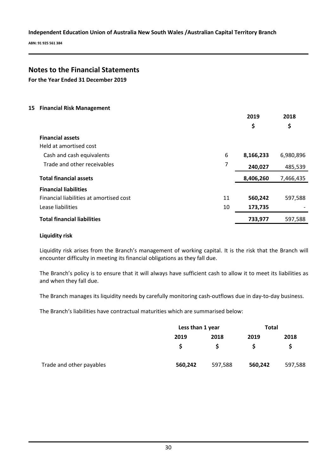**ABN: 91 925 561 384**

# **Notes to the Financial Statements**

**For the Year Ended 31 December 2019**

### **15 Financial Risk Management**

|                                         |    | 2019      | 2018      |
|-----------------------------------------|----|-----------|-----------|
|                                         |    | \$        | \$        |
| <b>Financial assets</b>                 |    |           |           |
| Held at amortised cost                  |    |           |           |
| Cash and cash equivalents               | 6  | 8,166,233 | 6,980,896 |
| Trade and other receivables             | 7  | 240,027   | 485,539   |
| <b>Total financial assets</b>           |    | 8,406,260 | 7,466,435 |
| <b>Financial liabilities</b>            |    |           |           |
| Financial liabilities at amortised cost | 11 | 560,242   | 597,588   |
| Lease liabilities                       | 10 | 173,735   |           |
| <b>Total financial liabilities</b>      |    | 733,977   | 597,588   |

### **Liquidity risk**

Liquidity risk arises from the Branch's management of working capital. It is the risk that the Branch will encounter difficulty in meeting its financial obligations as they fall due.

The Branch's policy is to ensure that it will always have sufficient cash to allow it to meet its liabilities as and when they fall due.

The Branch manages its liquidity needs by carefully monitoring cash-outflows due in day-to-day business.

The Branch's liabilities have contractual maturities which are summarised below:

|                          |         | Less than 1 year |         | <b>Total</b> |
|--------------------------|---------|------------------|---------|--------------|
|                          | 2019    | 2018             | 2019    | 2018         |
|                          |         |                  |         |              |
| Trade and other payables | 560,242 | 597,588          | 560,242 | 597,588      |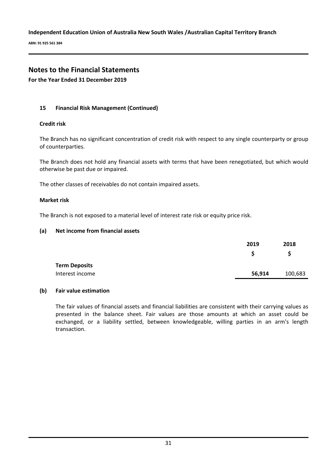**ABN: 91 925 561 384**

# **Notes to the Financial Statements**

**For the Year Ended 31 December 2019**

### **15 Financial Risk Management (Continued)**

### **Credit risk**

The Branch has no significant concentration of credit risk with respect to any single counterparty or group of counterparties.

The Branch does not hold any financial assets with terms that have been renegotiated, but which would otherwise be past due or impaired.

The other classes of receivables do not contain impaired assets.

### **Market risk**

The Branch is not exposed to a material level of interest rate risk or equity price risk.

### **(a) Net income from financial assets**

|                      | 2019   | 2018    |
|----------------------|--------|---------|
|                      |        | S       |
| <b>Term Deposits</b> |        |         |
| Interest income      | 56,914 | 100,683 |

### **(b) Fair value estimation**

The fair values of financial assets and financial liabilities are consistent with their carrying values as presented in the balance sheet. Fair values are those amounts at which an asset could be exchanged, or a liability settled, between knowledgeable, willing parties in an arm's length transaction.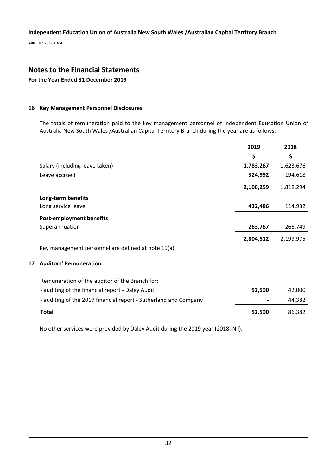**ABN: 91 925 561 384**

# **Notes to the Financial Statements**

**For the Year Ended 31 December 2019**

### **16 Key Management Personnel Disclosures**

The totals of remuneration paid to the key management personnel of Independent Education Union of Australia New South Wales /Australian Capital Territory Branch during the year are as follows:

|    |                                                                  | 2019      | 2018      |
|----|------------------------------------------------------------------|-----------|-----------|
|    |                                                                  | \$        | \$        |
|    | Salary (including leave taken)                                   | 1,783,267 | 1,623,676 |
|    | Leave accrued                                                    | 324,992   | 194,618   |
|    |                                                                  | 2,108,259 | 1,818,294 |
|    | Long-term benefits                                               |           |           |
|    | Long service leave                                               | 432,486   | 114,932   |
|    | <b>Post-employment benefits</b>                                  |           |           |
|    | Superannuation                                                   | 263,767   | 266,749   |
|    |                                                                  | 2,804,512 | 2,199,975 |
|    | Key management personnel are defined at note 19(a).              |           |           |
| 17 | <b>Auditors' Remuneration</b>                                    |           |           |
|    | Remuneration of the auditor of the Branch for:                   |           |           |
|    | - auditing of the financial report - Daley Audit                 | 52,500    | 42,000    |
|    | - auditing of the 2017 financial report - Sutherland and Company |           | 44,382    |
|    | <b>Total</b>                                                     | 52,500    | 86,382    |

No other services were provided by Daley Audit during the 2019 year (2018: Nil).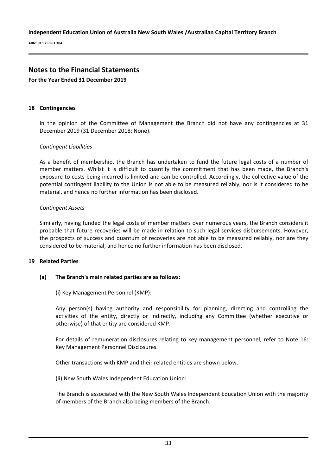**ABN: 91 925 561 384**

### **Notes to the Financial Statements**

**For the Year Ended 31 December 2019**

### **18 Contingencies**

In the opinion of the Committee of Management the Branch did not have any contingencies at 31 December 2019 (31 December 2018: None).

### *Contingent Liabilities*

As a benefit of membership, the Branch has undertaken to fund the future legal costs of a number of member matters. Whilst it is difficult to quantify the commitment that has been made, the Branch's exposure to costs being incurred is limited and can be controlled. Accordingly, the collective value of the potential contingent liability to the Union is not able to be measured reliably, nor is it considered to be material, and hence no further information has been disclosed.

### *Contingent Assets*

Similarly, having funded the legal costs of member matters over numerous years, the Branch considers it probable that future recoveries will be made in relation to such legal services disbursements. However, the prospects of success and quantum of recoveries are not able to be measured reliably, nor are they considered to be material, and hence no further information has been disclosed.

### **19 Related Parties**

### **(a) The Branch's main related parties are as follows:**

(i) Key Management Personnel (KMP):

Any person(s) having authority and responsibility for planning, directing and controlling the activities of the entity, directly or indirectly, including any Committee (whether executive or otherwise) of that entity are considered KMP.

For details of remuneration disclosures relating to key management personnel, refer to Note 16: Key Management Personnel Disclosures.

Other transactions with KMP and their related entities are shown below.

(ii) New South Wales Independent Education Union:

The Branch is associated with the New South Wales Independent Education Union with the majority of members of the Branch also being members of the Branch.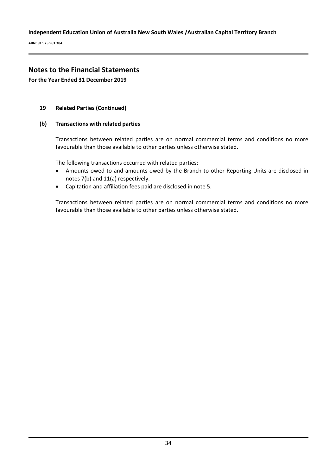**ABN: 91 925 561 384**

# **Notes to the Financial Statements**

**For the Year Ended 31 December 2019**

### **19 Related Parties (Continued)**

### **(b) Transactions with related parties**

Transactions between related parties are on normal commercial terms and conditions no more favourable than those available to other parties unless otherwise stated.

The following transactions occurred with related parties:

- Amounts owed to and amounts owed by the Branch to other Reporting Units are disclosed in notes 7(b) and 11(a) respectively.
- Capitation and affiliation fees paid are disclosed in note 5.

Transactions between related parties are on normal commercial terms and conditions no more favourable than those available to other parties unless otherwise stated.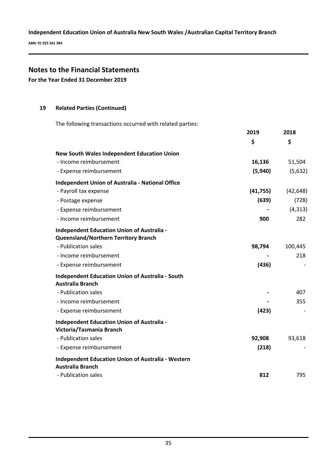**ABN: 91 925 561 384**

# **Notes to the Financial Statements**

**For the Year Ended 31 December 2019**

### **19 Related Parties (Continued)**

The following transactions occurred with related parties:

|                                                                                                  | 2019      | 2018      |
|--------------------------------------------------------------------------------------------------|-----------|-----------|
|                                                                                                  | \$        | \$        |
| <b>New South Wales Independent Education Union</b>                                               |           |           |
| - Income reimbursement                                                                           | 16,136    | 51,504    |
| - Expense reimbursement                                                                          | (5,940)   | (5,632)   |
| <b>Independent Union of Australia - National Office</b>                                          |           |           |
| - Payroll tax expense                                                                            | (41, 755) | (42, 648) |
| - Postage expense                                                                                | (639)     | (728)     |
| - Expense reimbursement                                                                          |           | (4, 313)  |
| - Income reimbursement                                                                           | 900       | 282       |
| <b>Independent Education Union of Australia -</b><br><b>Queensland/Northern Territory Branch</b> |           |           |
| - Publication sales                                                                              | 98,794    | 100,445   |
| - Income reimbursement                                                                           |           | 218       |
| - Expense reimbursement                                                                          | (436)     |           |
| <b>Independent Education Union of Australia - South</b><br><b>Australia Branch</b>               |           |           |
| - Publication sales                                                                              |           | 407       |
| - Income reimbursement                                                                           |           | 355       |
| - Expense reimbursement                                                                          | (423)     |           |
| <b>Independent Education Union of Australia -</b><br>Victoria/Tasmania Branch                    |           |           |
| - Publication sales                                                                              | 92,908    | 93,618    |
| - Expense reimbursement                                                                          | (218)     |           |
| <b>Independent Education Union of Australia - Western</b><br><b>Australia Branch</b>             |           |           |
| - Publication sales                                                                              | 812       | 795       |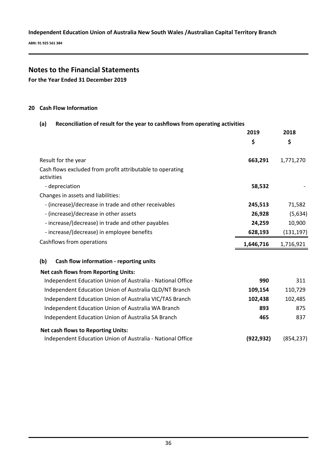**ABN: 91 925 561 384**

# **Notes to the Financial Statements**

**For the Year Ended 31 December 2019**

### **20 Cash Flow Information**

### **(a) Reconciliation of result for the year to cashflows from operating activities**

|                                                                         | 2019       | 2018       |
|-------------------------------------------------------------------------|------------|------------|
|                                                                         | \$         | \$         |
| Result for the year                                                     | 663,291    | 1,771,270  |
| Cash flows excluded from profit attributable to operating<br>activities |            |            |
| - depreciation                                                          | 58,532     |            |
| Changes in assets and liabilities:                                      |            |            |
| - (increase)/decrease in trade and other receivables                    | 245,513    | 71,582     |
| - (increase)/decrease in other assets                                   | 26,928     | (5,634)    |
| - increase/(decrease) in trade and other payables                       | 24,259     | 10,900     |
| - increase/(decrease) in employee benefits                              | 628,193    | (131, 197) |
|                                                                         |            |            |
| Cashflows from operations                                               | 1,646,716  | 1,716,921  |
| (b)<br>Cash flow information - reporting units                          |            |            |
| <b>Net cash flows from Reporting Units:</b>                             |            |            |
| Independent Education Union of Australia - National Office              | 990        | 311        |
| Independent Education Union of Australia QLD/NT Branch                  | 109,154    | 110,729    |
| Independent Education Union of Australia VIC/TAS Branch                 | 102,438    | 102,485    |
| Independent Education Union of Australia WA Branch                      | 893        | 875        |
| Independent Education Union of Australia SA Branch                      | 465        | 837        |
| <b>Net cash flows to Reporting Units:</b>                               |            |            |
| Independent Education Union of Australia - National Office              | (922, 932) | (854, 237) |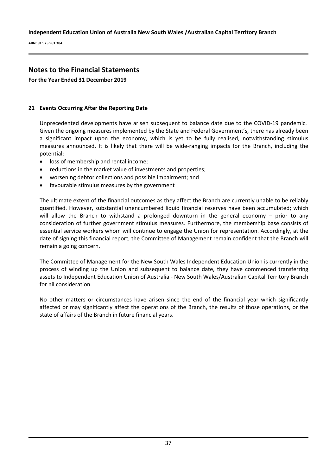**ABN: 91 925 561 384**

# **Notes to the Financial Statements**

**For the Year Ended 31 December 2019**

### **21 Events Occurring After the Reporting Date**

Unprecedented developments have arisen subsequent to balance date due to the COVID-19 pandemic. Given the ongoing measures implemented by the State and Federal Government's, there has already been a significant impact upon the economy, which is yet to be fully realised, notwithstanding stimulus measures announced. It is likely that there will be wide-ranging impacts for the Branch, including the potential:

- loss of membership and rental income;
- reductions in the market value of investments and properties;
- worsening debtor collections and possible impairment; and
- favourable stimulus measures by the government

The ultimate extent of the financial outcomes as they affect the Branch are currently unable to be reliably quantified. However, substantial unencumbered liquid financial reserves have been accumulated; which will allow the Branch to withstand a prolonged downturn in the general economy – prior to any consideration of further government stimulus measures. Furthermore, the membership base consists of essential service workers whom will continue to engage the Union for representation. Accordingly, at the date of signing this financial report, the Committee of Management remain confident that the Branch will remain a going concern.

The Committee of Management for the New South Wales Independent Education Union is currently in the process of winding up the Union and subsequent to balance date, they have commenced transferring assets to Independent Education Union of Australia - New South Wales/Australian Capital Territory Branch for nil consideration.

No other matters or circumstances have arisen since the end of the financial year which significantly affected or may significantly affect the operations of the Branch, the results of those operations, or the state of affairs of the Branch in future financial years.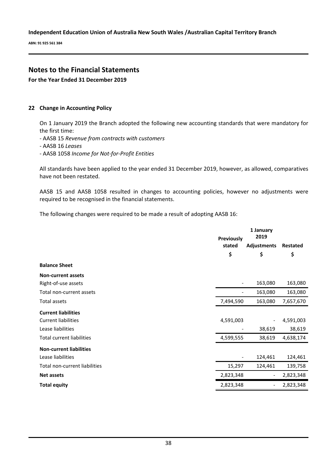**ABN: 91 925 561 384**

# **Notes to the Financial Statements**

**For the Year Ended 31 December 2019**

### **22 Change in Accounting Policy**

On 1 January 2019 the Branch adopted the following new accounting standards that were mandatory for the first time:

- AASB 15 *Revenue from contracts with customers*

- AASB 16 *Leases*
- AASB 1058 *Income for Not-for-Profit Entities*

All standards have been applied to the year ended 31 December 2019, however, as allowed, comparatives have not been restated.

AASB 15 and AASB 1058 resulted in changes to accounting policies, however no adjustments were required to be recognised in the financial statements.

The following changes were required to be made a result of adopting AASB 16:

|                                  | <b>Previously</b><br>stated | 1 January<br>2019<br>Adjustments |           |
|----------------------------------|-----------------------------|----------------------------------|-----------|
|                                  | \$                          | \$                               | \$        |
| <b>Balance Sheet</b>             |                             |                                  |           |
| <b>Non-current assets</b>        |                             |                                  |           |
| Right-of-use assets              | $\overline{\phantom{a}}$    | 163,080                          | 163,080   |
| Total non-current assets         | $\overline{\phantom{a}}$    | 163,080                          | 163,080   |
| Total assets                     | 7,494,590                   | 163,080                          | 7,657,670 |
| <b>Current liabilities</b>       |                             |                                  |           |
| <b>Current liabilities</b>       | 4,591,003                   |                                  | 4,591,003 |
| Lease liabilities                |                             | 38,619                           | 38,619    |
| <b>Total current liabilities</b> | 4,599,555                   | 38,619                           | 4,638,174 |
| <b>Non-current liabilities</b>   |                             |                                  |           |
| Lease liabilities                | $\overline{\phantom{a}}$    | 124,461                          | 124,461   |
| Total non-current liabilities    | 15,297                      | 124,461                          | 139,758   |
| <b>Net assets</b>                | 2,823,348                   | $\overline{\phantom{a}}$         | 2,823,348 |
| <b>Total equity</b>              | 2,823,348                   |                                  | 2,823,348 |
|                                  |                             |                                  |           |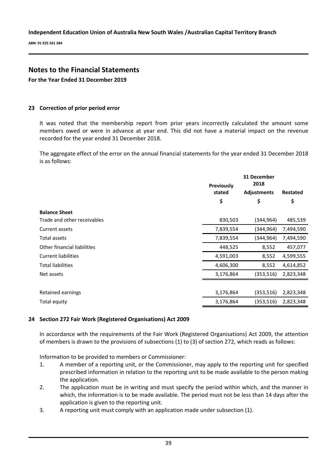**ABN: 91 925 561 384**

# **Notes to the Financial Statements**

**For the Year Ended 31 December 2019**

### **23 Correction of prior period error**

It was noted that the membership report from prior years incorrectly calculated the amount some members owed or were in advance at year end. This did not have a material impact on the revenue recorded for the year ended 31 December 2018.

The aggregate effect of the error on the annual financial statements for the year ended 31 December 2018 is as follows:

|                             | 31 December |                    |           |
|-----------------------------|-------------|--------------------|-----------|
|                             | Previously  | 2018               |           |
|                             | stated      | <b>Adjustments</b> | Restated  |
|                             | \$          | \$                 | \$        |
| <b>Balance Sheet</b>        |             |                    |           |
| Trade and other receivables | 830,503     | (344,964)          | 485,539   |
| Current assets              | 7,839,554   | (344,964)          | 7,494,590 |
| <b>Total assets</b>         | 7,839,554   | (344,964)          | 7,494,590 |
| Other financial liabilities | 448,525     | 8,552              | 457,077   |
| <b>Current liabilities</b>  | 4,591,003   | 8,552              | 4,599,555 |
| <b>Total liabilities</b>    | 4,606,300   | 8,552              | 4,614,852 |
| Net assets                  | 3,176,864   | (353,516)          | 2,823,348 |
|                             |             |                    |           |
| Retained earnings           | 3,176,864   | (353, 516)         | 2,823,348 |
| Total equity                | 3,176,864   | (353,516)          | 2,823,348 |

### **24 Section 272 Fair Work (Registered Organisations) Act 2009**

In accordance with the requirements of the Fair Work (Registered Organisations) Act 2009, the attention of members is drawn to the provisions of subsections (1) to (3) of section 272, which reads as follows:

Information to be provided to members or Commissioner:

- 1. A member of a reporting unit, or the Commissioner, may apply to the reporting unit for specified prescribed information in relation to the reporting unit to be made available to the person making the application.
- 2. The application must be in writing and must specify the period within which, and the manner in which, the information is to be made available. The period must not be less than 14 days after the application is given to the reporting unit.
- 3. A reporting unit must comply with an application made under subsection (1).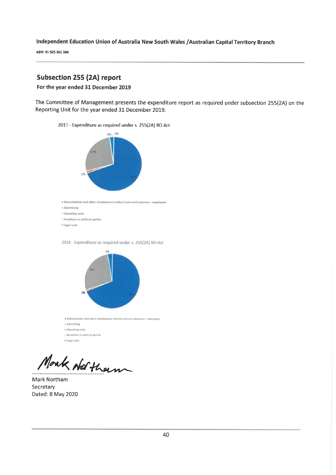ABN: 91 925 561 384

# **Subsection 255 (2A) report**

#### For the year ended 31 December 2019

The Committee of Management presents the expenditure report as required under subsection 255(2A) on the Reporting Unit for the year ended 31 December 2019.

2019 - Expenditure as required under s. 255(2A) RO Act



2018 - Expenditure as required under s. 255(2A) RO Act



» Advertising a Operating costs Donations to political parties • Legal costs

Monk Not tham

Mark Northam Secretary Dated: 8 May 2020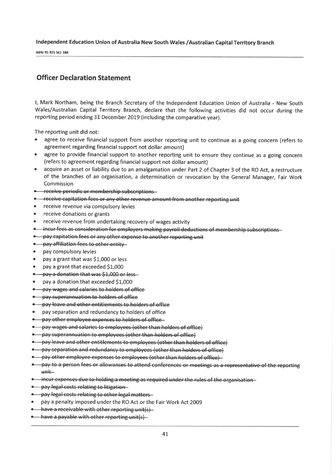ABN: 91 925 561 384

# **Officer Declaration Statement**

I, Mark Northam, being the Branch Secretary of the Independent Education Union of Australia - New South Wales/Australian Capital Territory Branch, declare that the following activities did not occur during the reporting period ending 31 December 2019 (including the comparative year).

The reporting unit did not:

- $\bullet$ agree to receive financial support from another reporting unit to continue as a going concern (refers to agreement regarding financial support not dollar amount)
- agree to provide financial support to another reporting unit to ensure they continue as a going concern  $\bullet$ (refers to agreement regarding financial support not dollar amount)
- acquire an asset or liability due to an amalgamation under Part 2 of Chapter 3 of the RO Act, a restructure of the branches of an organisation, a determination or revocation by the General Manager, Fair Work Commission
- **\*** receive periodic or membership subscriptions
- \* receive capitation fees or any other revenue amount from another reporting unit
- receive revenue via compulsory levies  $\bullet$
- receive donations or grants
- receive revenue from undertaking recovery of wages activity
- + incur fees as consideration for employers making payroll deductions of membership subscriptions
- pay capitation fees or any other expense to another reporting unit
- . pay affiliation fees to other entity
- pay compulsory levies
- pay a grant that was \$1,000 or less
- pay a grant that exceeded \$1,000
- pay a donation that was \$1,000 or less
- pay a donation that exceeded \$1,000
- pay wages and salaries to holders of office
- pay superannuation to holders of office
- . pay leave and other entitlements to holders of office
- pay separation and redundancy to holders of office
- **.** pay other employee expenses to holders of office
- pay wages and salaries to employees (other than holders of office)
- pay superannuation to employees (other than holders of office)
- pay leave and other entitlements to employees (other than holders of office)
- pay separation and redundancy to employees (other than holders of office)
- pay other employee expenses to employees (other than holders of office)
- pay to a person fees or allowances to attend conferences or meetings as a representative of the reporting unit
- . incur expenses due to holding a meeting as required under the rules of the organisation
- · pay legal costs relating to litigation-
- pay-legal costs-relating to other legal matters-
- pay a penalty imposed under the RO Act or the Fair Work Act 2009
- $\bullet$  have a receivable with other reporting unit(s)
- . have a payable with other reporting unit(s)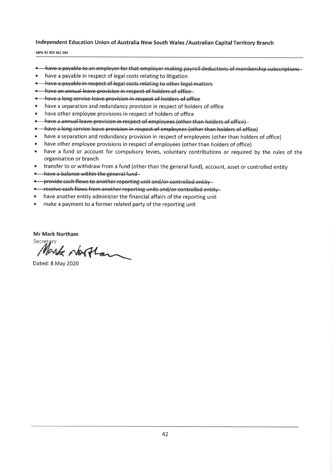ABN: 91 925 561 384

- . have a payable to an employer for that employer making payroll deductions of membership subscriptions
- have a payable in respect of legal costs relating to litigation
- . have a payable in respect of legal costs relating to other legal matters
- . have an annual leave provision in respect of holders of office
- . have a long service leave provision in respect of holders of office
- have a separation and redundancy provision in respect of holders of office
- $\bullet$ have other employee provisions in respect of holders of office
- . have a annual leave provision in respect of employees (other than holders of office)
- . have a long service leave provision in respect of employees (other than holders of office)
- have a separation and redundancy provision in respect of employees (other than holders of office)
- $\bullet$  . have other employee provisions in respect of employees (other than holders of office)
- have a fund or account for compulsory levies, voluntary contributions or required by the rules of the  $\bullet$ organisation or branch
- transfer to or withdraw from a fund (other than the general fund), account, asset or controlled entity
- . have a balance within the general fund
- . provide cash flows to another reporting unit and/or controlled entity
- -receive cash flows from another reporting units and/or controlled entity-
- have another entity administer the financial affairs of the reporting unit
- $\bullet$ make a payment to a former related party of the reporting unit

**Mr Mark Northam** 

Secretary Mark Northan

Dated: 8 May 2020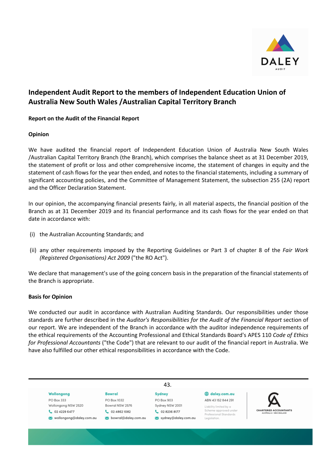

### **Report on the Audit of the Financial Report**

### **Opinion**

We have audited the financial report of Independent Education Union of Australia New South Wales /Australian Capital Territory Branch (the Branch), which comprises the balance sheet as at 31 December 2019, the statement of profit or loss and other comprehensive income, the statement of changes in equity and the statement of cash flows for the year then ended, and notes to the financial statements, including a summary of significant accounting policies, and the Committee of Management Statement, the subsection 255 (2A) report and the Officer Declaration Statement.

In our opinion, the accompanying financial presents fairly, in all material aspects, the financial position of the Branch as at 31 December 2019 and its financial performance and its cash flows for the year ended on that date in accordance with:

- (i) the Australian Accounting Standards; and
- (ii) any other requirements imposed by the Reporting Guidelines or Part 3 of chapter 8 of the *Fair Work (Registered Organisations) Act 2009* ("the RO Act").

We declare that management's use of the going concern basis in the preparation of the financial statements of the Branch is appropriate.

### **Basis for Opinion**

We conducted our audit in accordance with Australian Auditing Standards. Our responsibilities under those standards are further described in the *Auditor's Responsibilities for the Audit of the Financial Report* section of our report. We are independent of the Branch in accordance with the auditor independence requirements of the ethical requirements of the Accounting Professional and Ethical Standards Board's APES 110 *Code of Ethics for Professional Accountants* ("the Code") that are relevant to our audit of the financial report in Australia. We have also fulfilled our other ethical responsibilities in accordance with the Code.

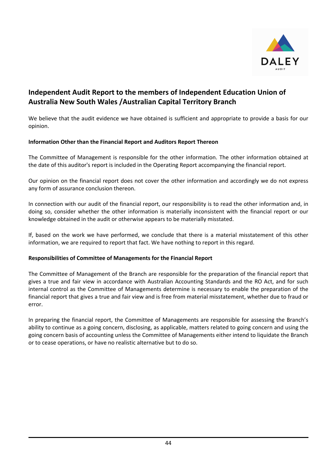

We believe that the audit evidence we have obtained is sufficient and appropriate to provide a basis for our opinion.

### **Information Other than the Financial Report and Auditors Report Thereon**

The Committee of Management is responsible for the other information. The other information obtained at the date of this auditor's report is included in the Operating Report accompanying the financial report.

Our opinion on the financial report does not cover the other information and accordingly we do not express any form of assurance conclusion thereon.

In connection with our audit of the financial report, our responsibility is to read the other information and, in doing so, consider whether the other information is materially inconsistent with the financial report or our knowledge obtained in the audit or otherwise appears to be materially misstated.

If, based on the work we have performed, we conclude that there is a material misstatement of this other information, we are required to report that fact. We have nothing to report in this regard.

### **Responsibilities of Committee of Managements for the Financial Report**

The Committee of Management of the Branch are responsible for the preparation of the financial report that gives a true and fair view in accordance with Australian Accounting Standards and the RO Act, and for such internal control as the Committee of Managements determine is necessary to enable the preparation of the financial report that gives a true and fair view and is free from material misstatement, whether due to fraud or error.

In preparing the financial report, the Committee of Managements are responsible for assessing the Branch's ability to continue as a going concern, disclosing, as applicable, matters related to going concern and using the going concern basis of accounting unless the Committee of Managements either intend to liquidate the Branch or to cease operations, or have no realistic alternative but to do so.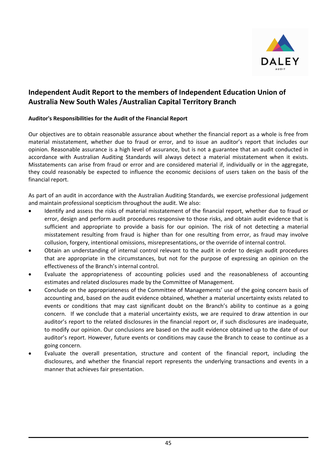

### **Auditor's Responsibilities for the Audit of the Financial Report**

Our objectives are to obtain reasonable assurance about whether the financial report as a whole is free from material misstatement, whether due to fraud or error, and to issue an auditor's report that includes our opinion. Reasonable assurance is a high level of assurance, but is not a guarantee that an audit conducted in accordance with Australian Auditing Standards will always detect a material misstatement when it exists. Misstatements can arise from fraud or error and are considered material if, individually or in the aggregate, they could reasonably be expected to influence the economic decisions of users taken on the basis of the financial report.

As part of an audit in accordance with the Australian Auditing Standards, we exercise professional judgement and maintain professional scepticism throughout the audit. We also:

- Identify and assess the risks of material misstatement of the financial report, whether due to fraud or error, design and perform audit procedures responsive to those risks, and obtain audit evidence that is sufficient and appropriate to provide a basis for our opinion. The risk of not detecting a material misstatement resulting from fraud is higher than for one resulting from error, as fraud may involve collusion, forgery, intentional omissions, misrepresentations, or the override of internal control.
- Obtain an understanding of internal control relevant to the audit in order to design audit procedures that are appropriate in the circumstances, but not for the purpose of expressing an opinion on the effectiveness of the Branch's internal control.
- Evaluate the appropriateness of accounting policies used and the reasonableness of accounting estimates and related disclosures made by the Committee of Management.
- Conclude on the appropriateness of the Committee of Managements' use of the going concern basis of accounting and, based on the audit evidence obtained, whether a material uncertainty exists related to events or conditions that may cast significant doubt on the Branch's ability to continue as a going concern. If we conclude that a material uncertainty exists, we are required to draw attention in our auditor's report to the related disclosures in the financial report or, if such disclosures are inadequate, to modify our opinion. Our conclusions are based on the audit evidence obtained up to the date of our auditor's report. However, future events or conditions may cause the Branch to cease to continue as a going concern.
- Evaluate the overall presentation, structure and content of the financial report, including the disclosures, and whether the financial report represents the underlying transactions and events in a manner that achieves fair presentation.